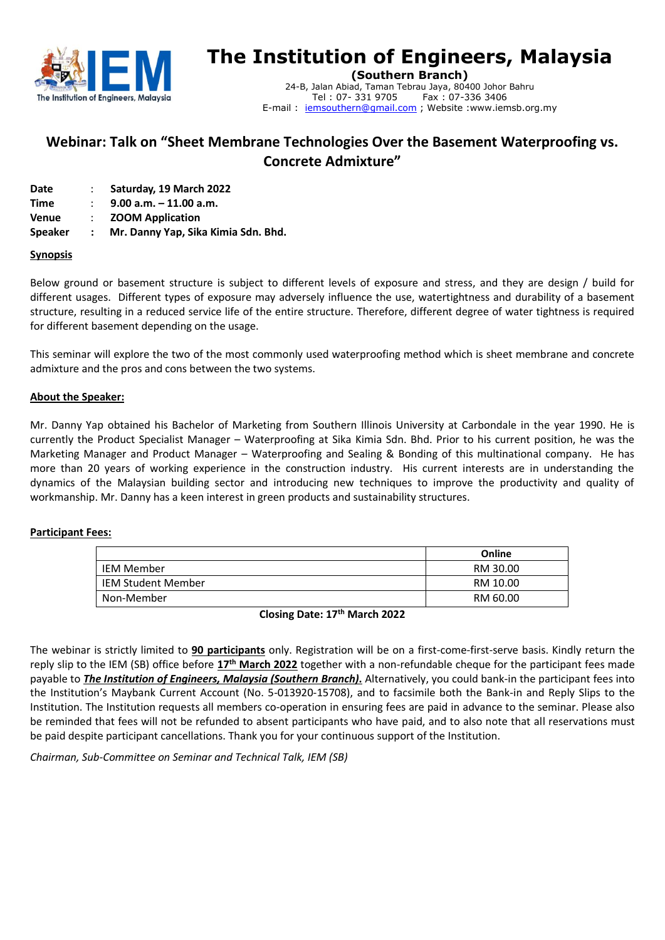

# **The Institution of Engineers, Malaysia**

**(Southern Branch)** 24-B, Jalan Abiad, Taman Tebrau Jaya, 80400 Johor Bahru Tel: 07-331 9705 E-mail : jemsouthern@gmail.com ; Website :www.iemsb.org.my

# **Webinar: Talk on "Sheet Membrane Technologies Over the Basement Waterproofing vs. Concrete Admixture"**

| Date |  | Saturday, 19 March 2022 |
|------|--|-------------------------|
|------|--|-------------------------|

**Time** : **9.00 a.m. – 11.00 a.m.**

**Venue** : **ZOOM Application**

**Speaker : Mr. Danny Yap, Sika Kimia Sdn. Bhd.**

#### **Synopsis**

Below ground or basement structure is subject to different levels of exposure and stress, and they are design / build for different usages. Different types of exposure may adversely influence the use, watertightness and durability of a basement structure, resulting in a reduced service life of the entire structure. Therefore, different degree of water tightness is required for different basement depending on the usage.

This seminar will explore the two of the most commonly used waterproofing method which is sheet membrane and concrete admixture and the pros and cons between the two systems.

#### **About the Speaker:**

Mr. Danny Yap obtained his Bachelor of Marketing from Southern Illinois University at Carbondale in the year 1990. He is currently the Product Specialist Manager – Waterproofing at Sika Kimia Sdn. Bhd. Prior to his current position, he was the Marketing Manager and Product Manager – Waterproofing and Sealing & Bonding of this multinational company. He has more than 20 years of working experience in the construction industry. His current interests are in understanding the dynamics of the Malaysian building sector and introducing new techniques to improve the productivity and quality of workmanship. Mr. Danny has a keen interest in green products and sustainability structures.

#### **Participant Fees:**

|                           | Online   |  |
|---------------------------|----------|--|
| <b>IEM Member</b>         | RM 30.00 |  |
| <b>IEM Student Member</b> | RM 10.00 |  |
| Non-Member                | RM 60.00 |  |

**Closing Date: 17 th March 2022**

The webinar is strictly limited to **90 participants** only. Registration will be on a first-come-first-serve basis. Kindly return the reply slip to the IEM (SB) office before 17<sup>th</sup> March 2022 together with a non-refundable cheque for the participant fees made payable to *The Institution of Engineers, Malaysia (Southern Branch)***.** Alternatively, you could bank-in the participant fees into the Institution's Maybank Current Account (No. 5-013920-15708), and to facsimile both the Bank-in and Reply Slips to the Institution. The Institution requests all members co-operation in ensuring fees are paid in advance to the seminar. Please also be reminded that fees will not be refunded to absent participants who have paid, and to also note that all reservations must be paid despite participant cancellations. Thank you for your continuous support of the Institution.

*Chairman, Sub-Committee on Seminar and Technical Talk, IEM (SB)*